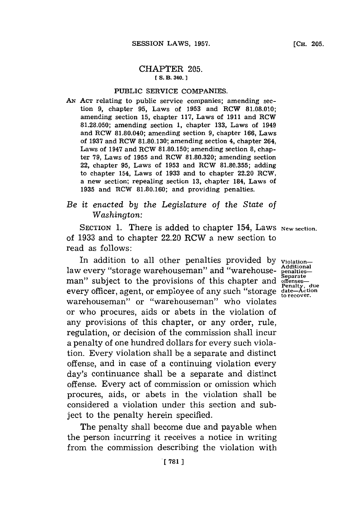### CHAPTER **205. [ S. B. 340.]1**

### PUBLIC SERVICE COMPANIES.

AN ACT relating to public service companies; amending section **9,** chapter **95,** Laws of **1953** and RCW **81.08.010;** amending section **15,** chapter **117,** Laws of **1911** and ROW **81.28.050;** amending section **1,** chapter **133,** Laws of 1949 and RCW **81.80.040;** amending section **9,** chapter **166,** Laws of **1937** and RCW **81.80.130;** amending section 4, chapter 264, Laws of 1947 and RCW **81.80.150;** amending section **8,** chapter **79,** Laws of **1955** and RCW **81.80.320;** amending section 22, chapter **95,** Laws of **1953** and RCW **81.80.355;** adding to chapter 154, Laws of **1933** and to chapter 22.20 RCW, a new section; repealing section **13,** chapter 184, Laws of **1935** and RCW **81.80.160;** and providing penalties.

# *Be it enacted by the Legislature of the State of Washington:*

SECTION 1. There is added to chapter 154, Laws New section. of **1933** and *to* chapter 22.20 RCW a new section to read as follows:

In addition to all other penalties provided **by violation**law every "storage warehouseman" and "warehouse- penaltiesman" subject to the provisions of this chapter and **offenses**every officer, agent, or employee of any such "storage date-Action" penalty, due warehouseman" or "warehouseman" who violates or who procures, aids or abets in the violation of any provisions of this chapter, or any order, rule, regulation, or decision of the commission shall incur a penalty of one hundred dollars for every such violation. Every violation shall be a separate and distinct offense, and in case of a continuing violation every day's continuance shall be a separate and distinct offense. Every act of commission or omission which procures, aids, or abets in the violation shall be considered a violation under this section and subject *to* the penalty herein specified.

The penalty shall become due and payable when the person incurring it receives a notice in writing from the commission describing the violation with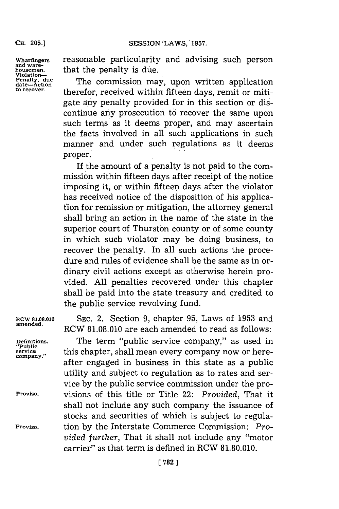**CH. 205.]**

From Violation—<br> **Penalty**, due<br>
date—Action<br>
to recover.

**Wharfingers** reasonable particularity and advising such person housemen. that the penalty is due.

> The commission may, upon written application therefor, received within fifteen days, remit or mitigate any penalty provided for in this section or discontinue any prosecution to recover the same upon such terms as it deems proper, and may ascertain the facts involved in all such applications in such manner and under such regulations as it deems proper.

> If the amount of a penalty is not paid to the commission within **fifteen** days after receipt of the notice imposing it, or within fifteen days after the violator has received notice of the disposition of his applicafion for remission or mitigation, the attorney general shall bring an action in the name of the state in the superior court of Thurston county or of some county in which such violator may be doing business, to recover the penalty. In all such actions the procedure and rules of evidence shall be the same as in ordinary civil actions except as otherwise herein provided. **All** penalties recovered under this chapter shall be paid into the state treasury and credited to the public service revolving fund.

**RCW 8.08.010 SEC.** 2. Section **9,** chapter **95,** Laws of **1953** and **amended.** RCW **81.08.010** are each amended to read as follows:

**Definitions.**<br>"Public<br>service

The term "public service company," as used in service this chapter, shall mean every company now or hereafter engaged in business in this state as a public utility and subject to regulation as to rates and service **by** the public service commission under the pro-**Proviso,** visions of this title or Title 22: *Provided,* That it shall not include any such company the issuance of stocks and securities of which is subject to regula-**Proviso.** tion **by** the Interstate Commerce Commission: *Provided further,* That it shall not include any "motor carrier" as that term is defined in RCW **81.80.010.**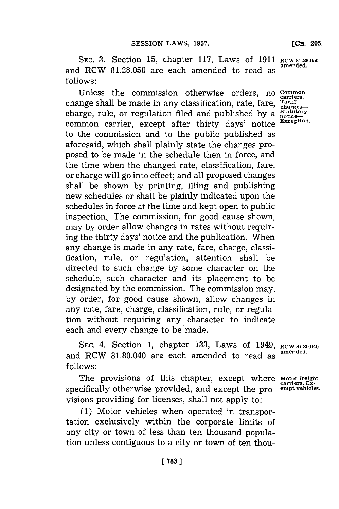**SEC. 3.** Section **15,** chapter **117,** Laws of **1911 RCW 8.28.050** and RCW **81.28.050** are each amended to read as **follows:**

Unless the commission otherwise orders, no **Common**<br>unge shall be made in any classification rate fare Tariff change shall be made in any classification, rate, fare, rariff. charge, rule, or regulation filed and published by a statutory common carrier, exception. common carrier, except after thirty days' notice to the commission and to the public published as aforesaid, which shall plainly state the changes proposed to be made in the schedule then in force, and the time when the changed rate, classification, fare, or charge will go into effect; and all proposed changes shall be shown **by** printing, filing and publishing new schedules or shall be plainly indicated upon the schedules in force at the time and kept open to public inspection. The commission, for good cause shown, may **by** order allow changes in rates without requiring the thirty days' notice and the publication. When any change is made in any rate, fare, charge, classification, rule, or regulation, attention shall be directed to such change **by** some character on the schedule, such character and its placement to be designated **by** the commission. The commission may, **by** order, for good cause shown, allow changes in any rate, fare, charge, classification, rule, or regulation without requiring any character to indicate each and every change to be made.

**SEC.** 4. Section **1,** chapter **133,** Laws of 1949, **RCW 81.80.040** and RCW 81.80.040 are each amended to read as <sup>amended</sup> **follows:**

The provisions of this chapter, except where **motor freight** specifically otherwise provided, and except the pro- **empt vehicles.** visions providing for licenses, shall not apply to:

**(1)** Motor vehicles when operated in transportation exclusively within the corporate limits of any city or town of less than ten thousand population unless contiguous to a city or town of ten thou**[CH. 205.**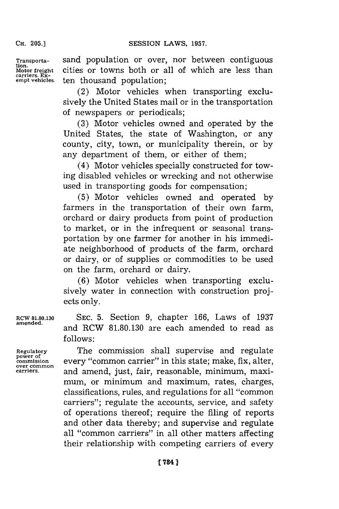**CH. 205.]**

**carriers. Ex-**

**Transporta-** sand population or over, nor between contiguous **tion.** cities or towns both or all of which are less than ten thousand population;

> (2) Motor vehicles when transporting exclusively the United States mail or in the transportation of newspapers or periodicals;

> **(3)** Motor vehicles owned and operated **by** the United States, the state of Washington, or any county, city, town, or municipality therein, or **by** any department of them, or either of them;

> (4) Motor vehicles specially constructed for towing disabled vehicles or wrecking and not otherwise used in transporting goods for compensation;

> **(5)** Motor vehicles owned and operated **by** farmers in the transportation of their own farm, orchard or dairy products from point of production to market, or in the infrequent or seasonal transportation **by** one farmer for another in his immediate neighborhood of products of the farm, orchard or dairy, or of supplies or commodities to be used on the farm, orchard or dairy.

> **(6)** Motor vehicles when transporting exclusively water in connection with construction projects only.

**RCW 8.80.130 SEC. 5.** Section **9,** chapter **166,** Laws of **1937 amended,** and RCW **81.80.130** are each amended to read as **f ollows:**

Regulatory **The commission shall supervise and regulate** power of power of<br>commission every "common carrier" in this state; make, fix, alter,<br><sub>over common</sub> **carriers,** and amend, just, fair, reasonable, minimum, maximum, or minimum and maximum, rates, charges, classifications, rules, and regulations **for** all "common carriers"; regulate the accounts, service, and safety of operations thereof; require the filing of reports and other data thereby; and supervise and regulate all ''common carriers" in all other matters affecting their relationship with competing carriers of every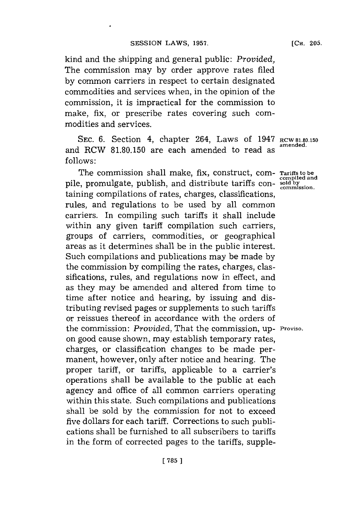kind and the shipping and general public: *Provided,* The commission may **by** order approve rates filed **by** common carriers in respect to certain designated commodities and services when, in the opinion of the commission, it is impractical for the commission to make, fix, or prescribe rates covering such commodities and services.

SEC. 6. Section 4, chapter 264, Laws of 1947 **RCW 81.80.150**<br>amended. and RCW 81.80.150 are each amended to read as **follows:**

The commission shall make, fix, construct, com- Tariffs to be compiled and pile, promulgate, publish, and distribute tariffs containing compilations of rates, charges, classifications, rules, and regulations to be used **by** all common carriers. In compiling such tariffs it shall include within any given tariff compilation such carriers, groups of carriers, commodities, or geographical areas as it determines shall be in the public interest. Such compilations and publications may be made **by** the commission **by** compiling the rates, charges, classifications, rules, and regulations now in effect, and as they may be amended and altered from time to time after notice and hearing, **by** issuing and distributing revised pages or supplements to such tariffs or reissues thereof in accordance with the orders of the commission: *Provided,* That the commission, up- **Proviso.** on good cause shown, may establish temporary rates, charges, or classification changes to be made permanent, however, only after notice and hearing. The proper tariff, or tariffs, applicable to a carrier's operations shall be available to the public at each agency and office of all common carriers operating within this state. Such compilations and publications shall be sold **by** the commission for not to exceed five dollars for each tariff. Corrections to such publications shall be furnished to all subscribers to tariffs in the form of corrected pages to the tariffs, supple-

**[CH. 205.**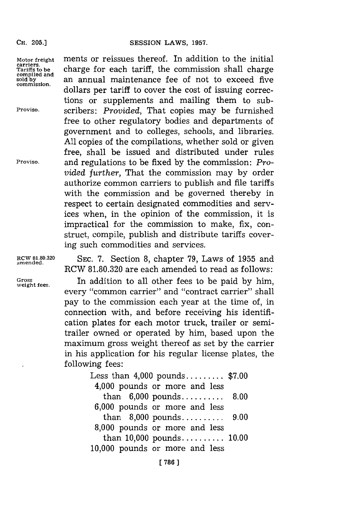#### **CH. 205.]**

Motor freight ments or reissues thereof. In addition to the initial carriers.<br>
Tariffs to be charge for each tariff, the commission shall charge carriers.<br>Tariffs to be **charge** for each tariff, the commission shall charge<br>compiled and<br>commission. an annual maintenance fee of not to exceed five an annual maintenance fee of not to exceed five dollars per tariff to cover the cost of issuing corrections or supplements and mailing them to sub-**Proviso,** scribers: *Provided,* That copies may be furnished free to other regulatory bodies and departments of government and to colleges, schools, and libraries. **All** copies of the compilations, whether sold or given free, shall be issued and distributed under rules **Proviso,** and regulations to be fixed **by** the commission: *Provided further,* That the commission may **by** order authorize common carriers to publish and file tariffs with the commission and be governed thereby in respect to certain designated commodities and services when, in the opinion of the commission, it is impractical for the commission to make, fix, construct, compile, publish and distribute tariffs covering such commodities and services.

**RCW 81.80.320** SEc. **7.** Section **8,** chapter **79,** Laws of **1955** and **amended.** RCW **81.80.320** are each amended to read as follows:

Gross **Fig. 3.1** In addition to all other fees to be paid by him, every "common carrier" and "contract carrier" shall pay to the commission each year at the time of, in connection with, and before receiving his identification plates for each motor truck, trailer or semitrailer owned or operated **by** him, based upon the maximum gross weight thereof as set **by** the carrier in his application for his regular license plates, the following fees:

> Less than 4,000 pounds **......... \$7.00** 4,000 pounds or more and less than **6,000** pounds **.......... 8.00 6,000** pounds or more and less than **8,000** pounds **.......... 9.00 8,000** pounds or more and less than **10,000** pounds **......... 10.00 10,000** pounds or more and less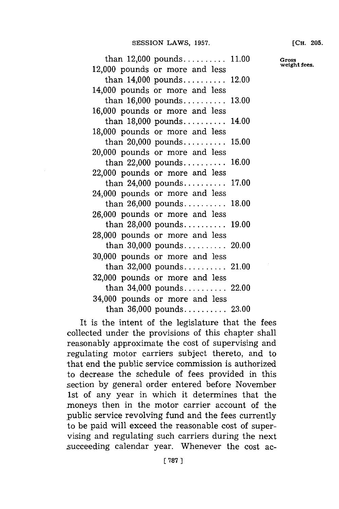## **SESSION LAWS, 1957.**

| than $12,000$ pounds $11.00$   |  |
|--------------------------------|--|
| 12,000 pounds or more and less |  |
| than $14,000$ pounds $12.00$   |  |
| 14,000 pounds or more and less |  |
| than $16,000$ pounds $13.00$   |  |
| 16,000 pounds or more and less |  |
| than 18,000 pounds 14.00       |  |
| 18,000 pounds or more and less |  |
| than $20,000$ pounds $15.00$   |  |
| 20,000 pounds or more and less |  |
| than $22,000$ pounds 16.00     |  |
| 22,000 pounds or more and less |  |
| than $24,000$ pounds 17.00     |  |
| 24,000 pounds or more and less |  |
| than $26,000$ pounds 18.00     |  |
| 26,000 pounds or more and less |  |
|                                |  |
| than 28,000 pounds 19.00       |  |
| 28,000 pounds or more and less |  |
| than 30,000 pounds 20.00       |  |
| 30,000 pounds or more and less |  |
| than $32,000$ pounds $21.00$   |  |
| 32,000 pounds or more and less |  |
| than $34,000$ pounds $22.00$   |  |
| 34,000 pounds or more and less |  |
| than 36,000 pounds 23.00       |  |

It is the intent of the legislature that the fees collected under the provisions of this chapter shall reasonably approximate the cost of supervising and regulating motor carriers subject thereto, and to that end the public service commission is authorized to decrease the schedule of fees provided in this section **by** general order entered before November 1st of any year in which it determines that the moneys then in the motor carrier account of the public service revolving fund and the fees currently to be paid will exceed the reasonable cost of supervising and regulating such carriers during the next succeeding calendar year. Whenever the cost ac**[CH. 205.**

**Gross weight fees.**